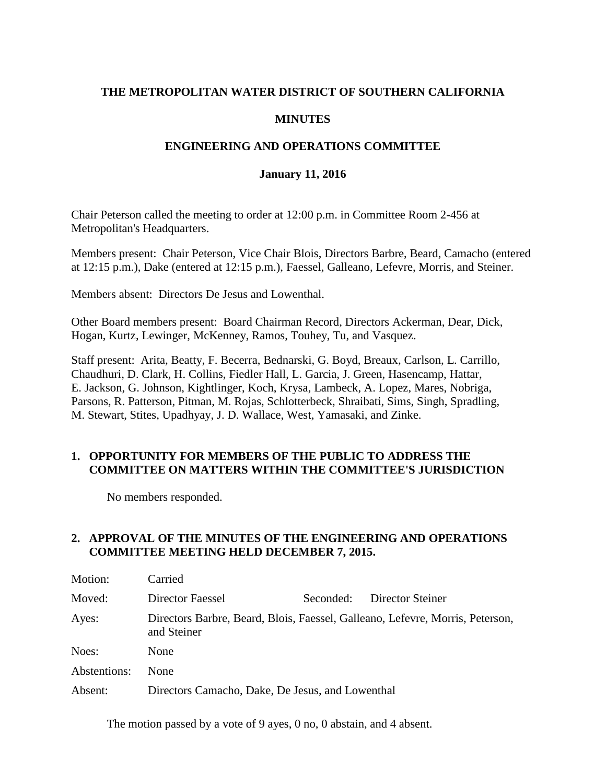### **THE METROPOLITAN WATER DISTRICT OF SOUTHERN CALIFORNIA**

### **MINUTES**

### **ENGINEERING AND OPERATIONS COMMITTEE**

#### **January 11, 2016**

Chair Peterson called the meeting to order at 12:00 p.m. in Committee Room 2-456 at Metropolitan's Headquarters.

Members present: Chair Peterson, Vice Chair Blois, Directors Barbre, Beard, Camacho (entered at 12:15 p.m.), Dake (entered at 12:15 p.m.), Faessel, Galleano, Lefevre, Morris, and Steiner.

Members absent: Directors De Jesus and Lowenthal.

Other Board members present: Board Chairman Record, Directors Ackerman, Dear, Dick, Hogan, Kurtz, Lewinger, McKenney, Ramos, Touhey, Tu, and Vasquez.

Staff present: Arita, Beatty, F. Becerra, Bednarski, G. Boyd, Breaux, Carlson, L. Carrillo, Chaudhuri, D. Clark, H. Collins, Fiedler Hall, L. Garcia, J. Green, Hasencamp, Hattar, E. Jackson, G. Johnson, Kightlinger, Koch, Krysa, Lambeck, A. Lopez, Mares, Nobriga, Parsons, R. Patterson, Pitman, M. Rojas, Schlotterbeck, Shraibati, Sims, Singh, Spradling, M. Stewart, Stites, Upadhyay, J. D. Wallace, West, Yamasaki, and Zinke.

### **1. OPPORTUNITY FOR MEMBERS OF THE PUBLIC TO ADDRESS THE COMMITTEE ON MATTERS WITHIN THE COMMITTEE'S JURISDICTION**

No members responded.

#### **2. APPROVAL OF THE MINUTES OF THE ENGINEERING AND OPERATIONS COMMITTEE MEETING HELD DECEMBER 7, 2015.**

| Motion:      | Carried                                                                                      |           |                  |
|--------------|----------------------------------------------------------------------------------------------|-----------|------------------|
| Moved:       | Director Faessel                                                                             | Seconded: | Director Steiner |
| Ayes:        | Directors Barbre, Beard, Blois, Faessel, Galleano, Lefevre, Morris, Peterson,<br>and Steiner |           |                  |
| Noes:        | None                                                                                         |           |                  |
| Abstentions: | None                                                                                         |           |                  |
| Absent:      | Directors Camacho, Dake, De Jesus, and Lowenthal                                             |           |                  |

The motion passed by a vote of 9 ayes, 0 no, 0 abstain, and 4 absent.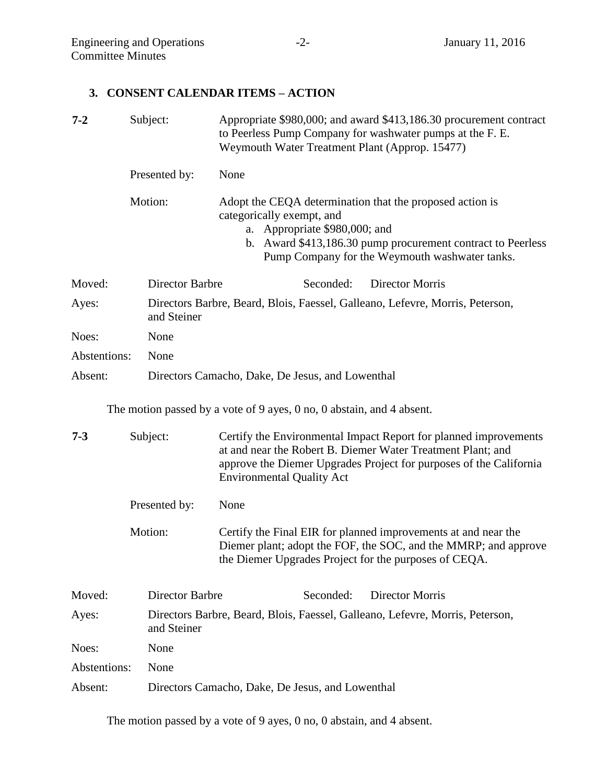## **3. CONSENT CALENDAR ITEMS – ACTION**

| $7 - 2$      | Subject:        | Appropriate \$980,000; and award \$413,186.30 procurement contract<br>to Peerless Pump Company for washwater pumps at the F. E.<br>Weymouth Water Treatment Plant (Approp. 15477)                                                         |  |  |
|--------------|-----------------|-------------------------------------------------------------------------------------------------------------------------------------------------------------------------------------------------------------------------------------------|--|--|
|              | Presented by:   | None                                                                                                                                                                                                                                      |  |  |
|              | Motion:         | Adopt the CEQA determination that the proposed action is<br>categorically exempt, and<br>a. Appropriate \$980,000; and<br>b. Award \$413,186.30 pump procurement contract to Peerless<br>Pump Company for the Weymouth washwater tanks.   |  |  |
| Moved:       | Director Barbre | Seconded:<br>Director Morris                                                                                                                                                                                                              |  |  |
| Ayes:        | and Steiner     | Directors Barbre, Beard, Blois, Faessel, Galleano, Lefevre, Morris, Peterson,                                                                                                                                                             |  |  |
| Noes:        | None            |                                                                                                                                                                                                                                           |  |  |
| Abstentions: | None            |                                                                                                                                                                                                                                           |  |  |
| Absent:      |                 | Directors Camacho, Dake, De Jesus, and Lowenthal                                                                                                                                                                                          |  |  |
|              |                 | The motion passed by a vote of 9 ayes, 0 no, 0 abstain, and 4 absent.                                                                                                                                                                     |  |  |
| $7 - 3$      | Subject:        | Certify the Environmental Impact Report for planned improvements<br>at and near the Robert B. Diemer Water Treatment Plant; and<br>approve the Diemer Upgrades Project for purposes of the California<br><b>Environmental Quality Act</b> |  |  |
|              | Presented by:   | None                                                                                                                                                                                                                                      |  |  |
|              | Motion:         | Certify the Final EIR for planned improvements at and near the<br>Diemer plant; adopt the FOF, the SOC, and the MMRP; and approve<br>the Diemer Upgrades Project for the purposes of CEQA.                                                |  |  |
| Moved:       | Director Barbre | Seconded:<br><b>Director Morris</b>                                                                                                                                                                                                       |  |  |
| Ayes:        | and Steiner     | Directors Barbre, Beard, Blois, Faessel, Galleano, Lefevre, Morris, Peterson,                                                                                                                                                             |  |  |
| Noes:        | None            |                                                                                                                                                                                                                                           |  |  |
| Abstentions: | None            |                                                                                                                                                                                                                                           |  |  |
| Absent:      |                 | Directors Camacho, Dake, De Jesus, and Lowenthal                                                                                                                                                                                          |  |  |

The motion passed by a vote of 9 ayes, 0 no, 0 abstain, and 4 absent.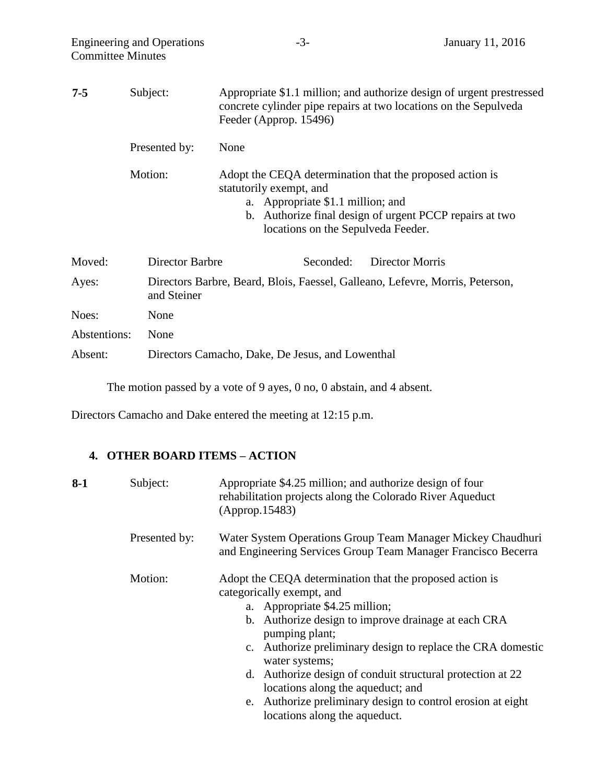| <b>Committee Minutes</b> | <b>Engineering and Operations</b> | $-3-$                                                                                                                                                          | January 11, 2016                                                                                                                          |
|--------------------------|-----------------------------------|----------------------------------------------------------------------------------------------------------------------------------------------------------------|-------------------------------------------------------------------------------------------------------------------------------------------|
| $7 - 5$                  | Subject:                          | Feeder (Approp. 15496)                                                                                                                                         | Appropriate \$1.1 million; and authorize design of urgent prestressed<br>concrete cylinder pipe repairs at two locations on the Sepulveda |
|                          | Presented by:                     | None                                                                                                                                                           |                                                                                                                                           |
|                          | Motion:                           | Adopt the CEQA determination that the proposed action is<br>statutorily exempt, and<br>a. Appropriate \$1.1 million; and<br>locations on the Sepulveda Feeder. | b. Authorize final design of urgent PCCP repairs at two                                                                                   |
| Moved:                   | <b>Director Barbre</b>            | Seconded:                                                                                                                                                      | Director Morris                                                                                                                           |
| Ayes:                    | and Steiner                       |                                                                                                                                                                | Directors Barbre, Beard, Blois, Faessel, Galleano, Lefevre, Morris, Peterson,                                                             |
| Noes:                    | None                              |                                                                                                                                                                |                                                                                                                                           |
| Abstentions:             | None                              |                                                                                                                                                                |                                                                                                                                           |
| Absent:                  |                                   | Directors Camacho, Dake, De Jesus, and Lowenthal                                                                                                               |                                                                                                                                           |

The motion passed by a vote of 9 ayes, 0 no, 0 abstain, and 4 absent.

Directors Camacho and Dake entered the meeting at 12:15 p.m.

# **4. OTHER BOARD ITEMS – ACTION**

| $8-1$ | Subject:      | Appropriate \$4.25 million; and authorize design of four<br>rehabilitation projects along the Colorado River Aqueduct<br>(Approp.15483)                                                                                                                                                                                                                                                                                                                                                 |
|-------|---------------|-----------------------------------------------------------------------------------------------------------------------------------------------------------------------------------------------------------------------------------------------------------------------------------------------------------------------------------------------------------------------------------------------------------------------------------------------------------------------------------------|
|       | Presented by: | Water System Operations Group Team Manager Mickey Chaudhuri<br>and Engineering Services Group Team Manager Francisco Becerra                                                                                                                                                                                                                                                                                                                                                            |
|       | Motion:       | Adopt the CEQA determination that the proposed action is<br>categorically exempt, and<br>a. Appropriate \$4.25 million;<br>b. Authorize design to improve drainage at each CRA<br>pumping plant;<br>c. Authorize preliminary design to replace the CRA domestic<br>water systems;<br>d. Authorize design of conduit structural protection at 22<br>locations along the aqueduct; and<br>Authorize preliminary design to control erosion at eight<br>e.<br>locations along the aqueduct. |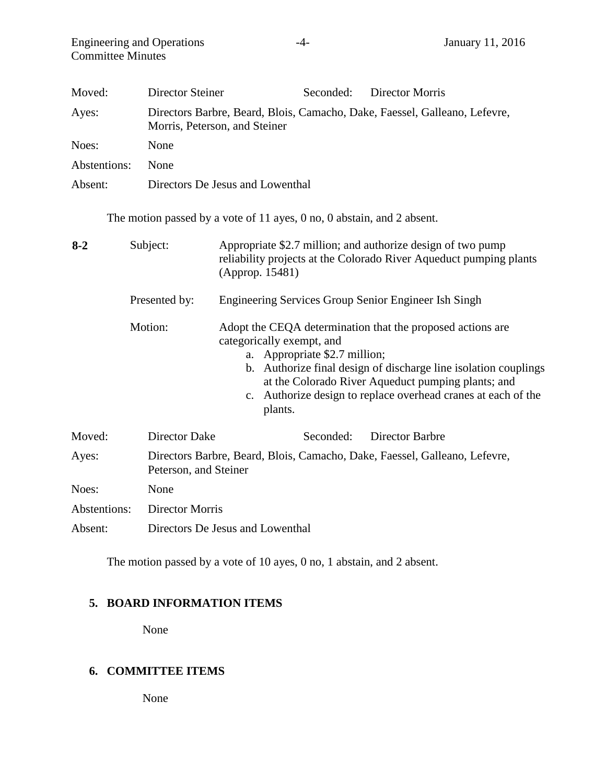| Moved:       | <b>Director Steiner</b> | <b>Director Morris</b><br>Seconded:                                                                                                                                                                                                                                                                                              |  |  |
|--------------|-------------------------|----------------------------------------------------------------------------------------------------------------------------------------------------------------------------------------------------------------------------------------------------------------------------------------------------------------------------------|--|--|
| Ayes:        |                         | Directors Barbre, Beard, Blois, Camacho, Dake, Faessel, Galleano, Lefevre,<br>Morris, Peterson, and Steiner                                                                                                                                                                                                                      |  |  |
| Noes:        | None                    |                                                                                                                                                                                                                                                                                                                                  |  |  |
| Abstentions: | None                    |                                                                                                                                                                                                                                                                                                                                  |  |  |
| Absent:      |                         | Directors De Jesus and Lowenthal                                                                                                                                                                                                                                                                                                 |  |  |
|              |                         | The motion passed by a vote of 11 ayes, 0 no, 0 abstain, and 2 absent.                                                                                                                                                                                                                                                           |  |  |
| $8 - 2$      | Subject:                | Appropriate \$2.7 million; and authorize design of two pump<br>reliability projects at the Colorado River Aqueduct pumping plants<br>(Approp. 15481)                                                                                                                                                                             |  |  |
|              | Presented by:           | Engineering Services Group Senior Engineer Ish Singh                                                                                                                                                                                                                                                                             |  |  |
|              | Motion:                 | Adopt the CEQA determination that the proposed actions are<br>categorically exempt, and<br>a. Appropriate \$2.7 million;<br>b. Authorize final design of discharge line isolation couplings<br>at the Colorado River Aqueduct pumping plants; and<br>Authorize design to replace overhead cranes at each of the<br>c.<br>plants. |  |  |
| Moved:       | <b>Director Dake</b>    | Seconded:<br><b>Director Barbre</b>                                                                                                                                                                                                                                                                                              |  |  |
| Ayes:        |                         | Directors Barbre, Beard, Blois, Camacho, Dake, Faessel, Galleano, Lefevre,<br>Peterson, and Steiner                                                                                                                                                                                                                              |  |  |
| Noes:        | None                    |                                                                                                                                                                                                                                                                                                                                  |  |  |
| Abstentions: | Director Morris         |                                                                                                                                                                                                                                                                                                                                  |  |  |
| Absent:      |                         | Directors De Jesus and Lowenthal                                                                                                                                                                                                                                                                                                 |  |  |

The motion passed by a vote of 10 ayes, 0 no, 1 abstain, and 2 absent.

# **5. BOARD INFORMATION ITEMS**

None

## **6. COMMITTEE ITEMS**

None